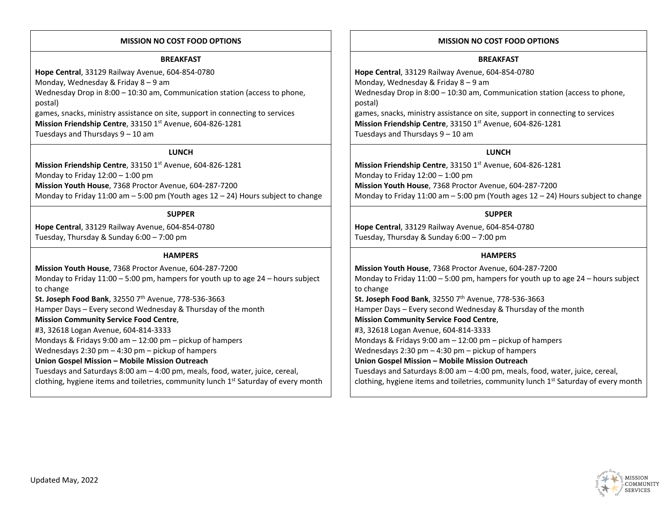# **MISSION NO COST FOOD OPTIONS MISSION NO COST FOOD OPTIONS**

## **BREAKFAST**

**Hope Central**, 33129 Railway Avenue, 604-854-0780 Monday, Wednesday & Friday 8 – 9 am Wednesday Drop in 8:00 – 10:30 am, Communication station (access to phone, postal) games, snacks, ministry assistance on site, support in connecting to services **Mission Friendship Centre**, 33150 1st Avenue, 604-826-1281 Tuesdays and Thursdays 9 – 10 am

## **LUNCH**

**Mission Friendship Centre**, 33150 1st Avenue, 604-826-1281 Monday to Friday 12:00 – 1:00 pm **Mission Youth House**, 7368 Proctor Avenue, 604-287-7200 Monday to Friday 11:00 am – 5:00 pm (Youth ages 12 – 24) Hours subject to change

### **SUPPER**

**Hope Central**, 33129 Railway Avenue, 604-854-0780 Tuesday, Thursday & Sunday 6:00 – 7:00 pm

#### **HAMPERS**

**Mission Youth House**, 7368 Proctor Avenue, 604-287-7200 Monday to Friday  $11:00 - 5:00$  pm, hampers for youth up to age  $24 -$  hours subject to change **St. Joseph Food Bank**, 32550 7<sup>th</sup> Avenue, 778-536-3663 Hamper Days – Every second Wednesday & Thursday of the month **Mission Community Service Food Centre**, #3, 32618 Logan Avenue, 604-814-3333 Mondays & Fridays 9:00 am – 12:00 pm – pickup of hampers Wednesdays 2:30 pm – 4:30 pm – pickup of hampers **Union Gospel Mission – Mobile Mission Outreach** Tuesdays and Saturdays 8:00 am – 4:00 pm, meals, food, water, juice, cereal, clothing, hygiene items and toiletries, community lunch 1st Saturday of every month

### **BREAKFAST**

**Hope Central**, 33129 Railway Avenue, 604-854-0780 Monday, Wednesday & Friday 8 – 9 am Wednesday Drop in 8:00 – 10:30 am, Communication station (access to phone, postal) games, snacks, ministry assistance on site, support in connecting to services **Mission Friendship Centre**, 33150 1st Avenue, 604-826-1281 Tuesdays and Thursdays 9 – 10 am

## **LUNCH**

**Mission Friendship Centre**, 33150 1st Avenue, 604-826-1281 Monday to Friday  $12:00 - 1:00$  pm **Mission Youth House**, 7368 Proctor Avenue, 604-287-7200 Monday to Friday 11:00 am – 5:00 pm (Youth ages 12 – 24) Hours subject to change

## **SUPPER**

**Hope Central**, 33129 Railway Avenue, 604-854-0780 Tuesday, Thursday & Sunday 6:00 – 7:00 pm

## **HAMPERS**

**Mission Youth House**, 7368 Proctor Avenue, 604-287-7200 Monday to Friday 11:00 – 5:00 pm, hampers for youth up to age 24 – hours subject to change **St. Joseph Food Bank**, 32550 7<sup>th</sup> Avenue, 778-536-3663 Hamper Days – Every second Wednesday & Thursday of the month **Mission Community Service Food Centre**, #3, 32618 Logan Avenue, 604-814-3333 Mondays & Fridays 9:00 am – 12:00 pm – pickup of hampers Wednesdays 2:30 pm – 4:30 pm – pickup of hampers **Union Gospel Mission – Mobile Mission Outreach** Tuesdays and Saturdays 8:00 am – 4:00 pm, meals, food, water, juice, cereal, clothing, hygiene items and toiletries, community lunch 1st Saturday of every month